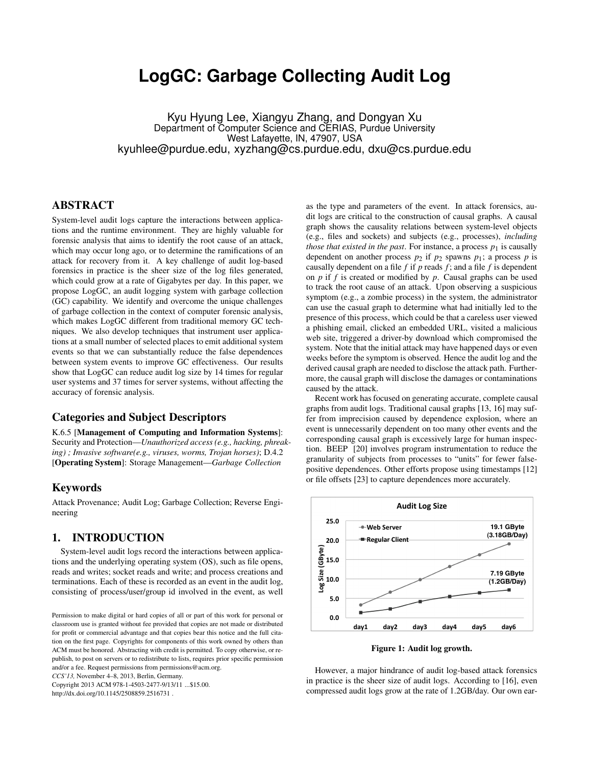# **LogGC: Garbage Collecting Audit Log**

Kyu Hyung Lee, Xiangyu Zhang, and Dongyan Xu Department of Computer Science and CERIAS, Purdue University West Lafayette, IN, 47907, USA kyuhlee@purdue.edu, xyzhang@cs.purdue.edu, dxu@cs.purdue.edu

# ABSTRACT

System-level audit logs capture the interactions between applications and the runtime environment. They are highly valuable for forensic analysis that aims to identify the root cause of an attack, which may occur long ago, or to determine the ramifications of an attack for recovery from it. A key challenge of audit log-based forensics in practice is the sheer size of the log files generated, which could grow at a rate of Gigabytes per day. In this paper, we propose LogGC, an audit logging system with garbage collection (GC) capability. We identify and overcome the unique challenges of garbage collection in the context of computer forensic analysis, which makes LogGC different from traditional memory GC techniques. We also develop techniques that instrument user applications at a small number of selected places to emit additional system events so that we can substantially reduce the false dependences between system events to improve GC effectiveness. Our results show that LogGC can reduce audit log size by 14 times for regular user systems and 37 times for server systems, without affecting the accuracy of forensic analysis.

# Categories and Subject Descriptors

K.6.5 [Management of Computing and Information Systems]: Security and Protection—*Unauthorized access (e.g., hacking, phreaking) ; Invasive software(e.g., viruses, worms, Trojan horses)*; D.4.2 [Operating System]: Storage Management—*Garbage Collection*

#### Keywords

Attack Provenance; Audit Log; Garbage Collection; Reverse Engineering

# 1. INTRODUCTION

System-level audit logs record the interactions between applications and the underlying operating system (OS), such as file opens, reads and writes; socket reads and write; and process creations and terminations. Each of these is recorded as an event in the audit log, consisting of process/user/group id involved in the event, as well

*CCS'13,* November 4–8, 2013, Berlin, Germany.

Copyright 2013 ACM 978-1-4503-2477-9/13/11 ...\$15.00. http://dx.doi.org/10.1145/2508859.2516731 .

as the type and parameters of the event. In attack forensics, audit logs are critical to the construction of causal graphs. A causal graph shows the causality relations between system-level objects (e.g., files and sockets) and subjects (e.g., processes), *including those that existed in the past.* For instance, a process  $p_1$  is causally dependent on another process  $p_2$  if  $p_2$  spawns  $p_1$ ; a process  $p$  is causally dependent on a file *f* if *p* reads *f* ; and a file *f* is dependent on *p* if *f* is created or modified by *p*. Causal graphs can be used to track the root cause of an attack. Upon observing a suspicious symptom (e.g., a zombie process) in the system, the administrator can use the casual graph to determine what had initially led to the presence of this process, which could be that a careless user viewed a phishing email, clicked an embedded URL, visited a malicious web site, triggered a driver-by download which compromised the system. Note that the initial attack may have happened days or even weeks before the symptom is observed. Hence the audit log and the derived causal graph are needed to disclose the attack path. Furthermore, the causal graph will disclose the damages or contaminations caused by the attack.

Recent work has focused on generating accurate, complete causal graphs from audit logs. Traditional causal graphs [13, 16] may suffer from imprecision caused by dependence explosion, where an event is unnecessarily dependent on too many other events and the corresponding causal graph is excessively large for human inspection. BEEP [20] involves program instrumentation to reduce the granularity of subjects from processes to "units" for fewer falsepositive dependences. Other efforts propose using timestamps [12] or file offsets [23] to capture dependences more accurately.



Figure 1: Audit log growth.

However, a major hindrance of audit log-based attack forensics in practice is the sheer size of audit logs. According to [16], even compressed audit logs grow at the rate of 1.2GB/day. Our own ear-

Permission to make digital or hard copies of all or part of this work for personal or classroom use is granted without fee provided that copies are not made or distributed for profit or commercial advantage and that copies bear this notice and the full citation on the first page. Copyrights for components of this work owned by others than ACM must be honored. Abstracting with credit is permitted. To copy otherwise, or republish, to post on servers or to redistribute to lists, requires prior specific permission and/or a fee. Request permissions from permissions@acm.org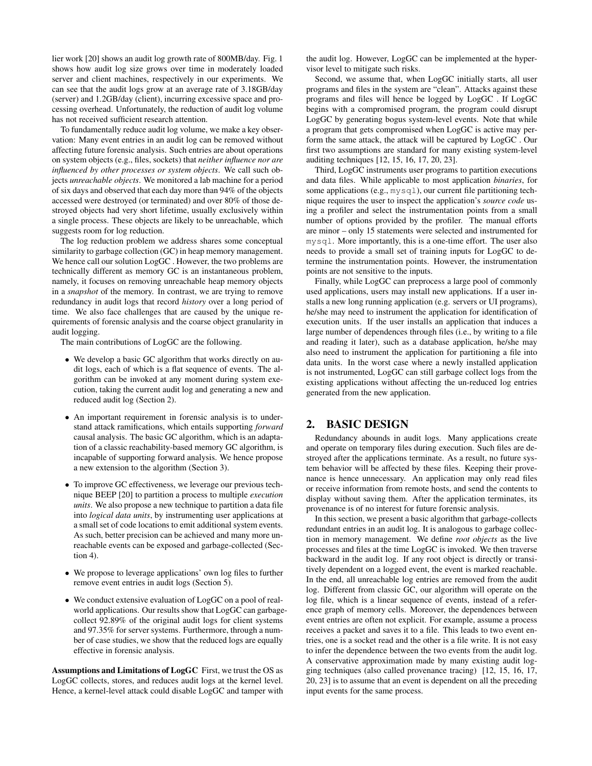lier work [20] shows an audit log growth rate of 800MB/day. Fig. 1 shows how audit log size grows over time in moderately loaded server and client machines, respectively in our experiments. We can see that the audit logs grow at an average rate of 3.18GB/day (server) and 1.2GB/day (client), incurring excessive space and processing overhead. Unfortunately, the reduction of audit log volume has not received sufficient research attention.

To fundamentally reduce audit log volume, we make a key observation: Many event entries in an audit log can be removed without affecting future forensic analysis. Such entries are about operations on system objects (e.g., files, sockets) that *neither influence nor are influenced by other processes or system objects*. We call such objects *unreachable objects*. We monitored a lab machine for a period of six days and observed that each day more than 94% of the objects accessed were destroyed (or terminated) and over 80% of those destroyed objects had very short lifetime, usually exclusively within a single process. These objects are likely to be unreachable, which suggests room for log reduction.

The log reduction problem we address shares some conceptual similarity to garbage collection (GC) in heap memory management. We hence call our solution LogGC . However, the two problems are technically different as memory GC is an instantaneous problem, namely, it focuses on removing unreachable heap memory objects in a *snapshot* of the memory. In contrast, we are trying to remove redundancy in audit logs that record *history* over a long period of time. We also face challenges that are caused by the unique requirements of forensic analysis and the coarse object granularity in audit logging.

The main contributions of LogGC are the following.

- We develop a basic GC algorithm that works directly on audit logs, each of which is a flat sequence of events. The algorithm can be invoked at any moment during system execution, taking the current audit log and generating a new and reduced audit log (Section 2).
- An important requirement in forensic analysis is to understand attack ramifications, which entails supporting *forward* causal analysis. The basic GC algorithm, which is an adaptation of a classic reachability-based memory GC algorithm, is incapable of supporting forward analysis. We hence propose a new extension to the algorithm (Section 3).
- To improve GC effectiveness, we leverage our previous technique BEEP [20] to partition a process to multiple *execution units*. We also propose a new technique to partition a data file into *logical data units*, by instrumenting user applications at a small set of code locations to emit additional system events. As such, better precision can be achieved and many more unreachable events can be exposed and garbage-collected (Section 4).
- We propose to leverage applications' own log files to further remove event entries in audit logs (Section 5).
- We conduct extensive evaluation of LogGC on a pool of realworld applications. Our results show that LogGC can garbagecollect 92.89% of the original audit logs for client systems and 97.35% for server systems. Furthermore, through a number of case studies, we show that the reduced logs are equally effective in forensic analysis.

Assumptions and Limitations of LogGC First, we trust the OS as LogGC collects, stores, and reduces audit logs at the kernel level. Hence, a kernel-level attack could disable LogGC and tamper with the audit log. However, LogGC can be implemented at the hypervisor level to mitigate such risks.

Second, we assume that, when LogGC initially starts, all user programs and files in the system are "clean". Attacks against these programs and files will hence be logged by LogGC . If LogGC begins with a compromised program, the program could disrupt LogGC by generating bogus system-level events. Note that while a program that gets compromised when LogGC is active may perform the same attack, the attack will be captured by LogGC . Our first two assumptions are standard for many existing system-level auditing techniques [12, 15, 16, 17, 20, 23].

Third, LogGC instruments user programs to partition executions and data files. While applicable to most application *binaries*, for some applications (e.g.,  $mysq1$ ), our current file partitioning technique requires the user to inspect the application's *source code* using a profiler and select the instrumentation points from a small number of options provided by the profiler. The manual efforts are minor – only 15 statements were selected and instrumented for mysql. More importantly, this is a one-time effort. The user also needs to provide a small set of training inputs for LogGC to determine the instrumentation points. However, the instrumentation points are not sensitive to the inputs.

Finally, while LogGC can preprocess a large pool of commonly used applications, users may install new applications. If a user installs a new long running application (e.g. servers or UI programs), he/she may need to instrument the application for identification of execution units. If the user installs an application that induces a large number of dependences through files (i.e., by writing to a file and reading it later), such as a database application, he/she may also need to instrument the application for partitioning a file into data units. In the worst case where a newly installed application is not instrumented, LogGC can still garbage collect logs from the existing applications without affecting the un-reduced log entries generated from the new application.

#### 2. BASIC DESIGN

Redundancy abounds in audit logs. Many applications create and operate on temporary files during execution. Such files are destroyed after the applications terminate. As a result, no future system behavior will be affected by these files. Keeping their provenance is hence unnecessary. An application may only read files or receive information from remote hosts, and send the contents to display without saving them. After the application terminates, its provenance is of no interest for future forensic analysis.

In this section, we present a basic algorithm that garbage-collects redundant entries in an audit log. It is analogous to garbage collection in memory management. We define *root objects* as the live processes and files at the time LogGC is invoked. We then traverse backward in the audit log. If any root object is directly or transitively dependent on a logged event, the event is marked reachable. In the end, all unreachable log entries are removed from the audit log. Different from classic GC, our algorithm will operate on the log file, which is a linear sequence of events, instead of a reference graph of memory cells. Moreover, the dependences between event entries are often not explicit. For example, assume a process receives a packet and saves it to a file. This leads to two event entries, one is a socket read and the other is a file write. It is not easy to infer the dependence between the two events from the audit log. A conservative approximation made by many existing audit logging techniques (also called provenance tracing) [12, 15, 16, 17, 20, 23] is to assume that an event is dependent on all the preceding input events for the same process.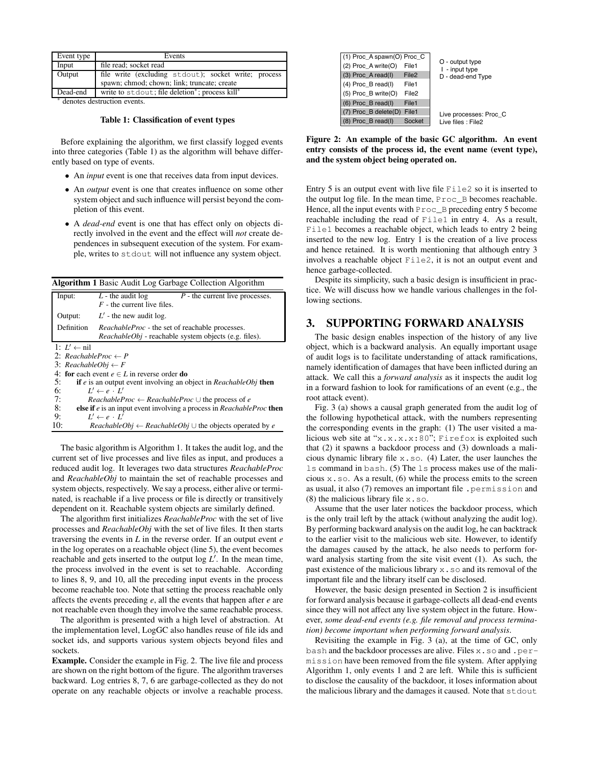| Event type    | Events                                                                                              |
|---------------|-----------------------------------------------------------------------------------------------------|
| Input         | file read; socket read                                                                              |
| Output        | file write (excluding stdout); socket write; process<br>spawn; chmod; chown; link; truncate; create |
| Dead-end<br>. | write to st dout; file deletion <sup>*</sup> ; process kill <sup>*</sup>                            |

<sup>∗</sup> denotes destruction events.

Table 1: Classification of event types

Before explaining the algorithm, we first classify logged events into three categories (Table 1) as the algorithm will behave differently based on type of events.

- An *input* event is one that receives data from input devices.
- An *output* event is one that creates influence on some other system object and such influence will persist beyond the completion of this event.
- A *dead-end* event is one that has effect only on objects directly involved in the event and the effect will *not* create dependences in subsequent execution of the system. For example, writes to stdout will not influence any system object.

| Algorithm 1 Basic Audit Log Garbage Collection Algorithm |  |  |  |
|----------------------------------------------------------|--|--|--|
|                                                          |  |  |  |

|                               | $\mathbf{r}$                                                                                                           |
|-------------------------------|------------------------------------------------------------------------------------------------------------------------|
| Input:                        | $L$ - the audit log<br>$P$ - the current live processes.<br>$F$ - the current live files.                              |
| Output:                       | $L'$ - the new audit log.                                                                                              |
| Definition                    | <i>ReachableProc</i> - the set of reachable processes.<br><i>ReachableObj</i> - reachable system objects (e.g. files). |
| 1: $L' \leftarrow \text{nil}$ |                                                                                                                        |
|                               | 2: ReachableProc $\leftarrow$ P                                                                                        |
|                               | 3: ReachableObj $\leftarrow$ F                                                                                         |
|                               | 4: for each event $e \in L$ in reverse order <b>do</b>                                                                 |
| 5:                            | if e is an output event involving an object in ReachableObj then                                                       |
| 6:                            | $L' \leftarrow e \cdot L'$                                                                                             |
| 7:                            | <i>ReachableProc</i> $\leftarrow$ <i>ReachableProc</i> $\cup$ the process of <i>e</i>                                  |
| 8:                            | <b>else if</b> $e$ is an input event involving a process in ReachableProc <b>then</b>                                  |
| 9:                            | $L' \leftarrow e \cdot L'$                                                                                             |
| 10:                           | <i>ReachableObj</i> $\leftarrow$ <i>ReachableObj</i> $\cup$ the objects operated by <i>e</i>                           |

The basic algorithm is Algorithm 1. It takes the audit log, and the current set of live processes and live files as input, and produces a reduced audit log. It leverages two data structures *ReachableProc* and *ReachableObj* to maintain the set of reachable processes and system objects, respectively. We say a process, either alive or terminated, is reachable if a live process or file is directly or transitively dependent on it. Reachable system objects are similarly defined.

The algorithm first initializes *ReachableProc* with the set of live processes and *ReachableObj* with the set of live files. It then starts traversing the events in *L* in the reverse order. If an output event *e* in the log operates on a reachable object (line 5), the event becomes reachable and gets inserted to the output  $\log L'$ . In the mean time, the process involved in the event is set to reachable. According to lines 8, 9, and 10, all the preceding input events in the process become reachable too. Note that setting the process reachable only affects the events preceding *e*, all the events that happen after *e* are not reachable even though they involve the same reachable process.

The algorithm is presented with a high level of abstraction. At the implementation level, LogGC also handles reuse of file ids and socket ids, and supports various system objects beyond files and sockets.

Example. Consider the example in Fig. 2. The live file and process are shown on the right bottom of the figure. The algorithm traverses backward. Log entries 8, 7, 6 are garbage-collected as they do not operate on any reachable objects or involve a reachable process.

| (1) Proc_A spawn(O) Proc_C |                   |                                   |
|----------------------------|-------------------|-----------------------------------|
| $(2)$ Proc A write $(O)$   | File1             | O - output type<br>I - input type |
| $(3)$ Proc_A read $(1)$    | File <sub>2</sub> | D - dead-end Type                 |
| $(4)$ Proc B read(I)       | File1             |                                   |
| (5) Proc_B write(O)        | File <sub>2</sub> |                                   |
| $(6)$ Proc B read $(1)$    | File1             |                                   |
| (7) Proc_B delete(D)       | File1             | Live processes: Proc C            |
| $(8)$ Proc_B read $(1)$    | Socket            | Live files : File2                |

Figure 2: An example of the basic GC algorithm. An event entry consists of the process id, the event name (event type), and the system object being operated on.

Entry 5 is an output event with live file File2 so it is inserted to the output log file. In the mean time, Proc\_B becomes reachable. Hence, all the input events with  $\text{Proc}\,B$  preceding entry 5 become reachable including the read of File1 in entry 4. As a result, File1 becomes a reachable object, which leads to entry 2 being inserted to the new log. Entry 1 is the creation of a live process and hence retained. It is worth mentioning that although entry 3 involves a reachable object File2, it is not an output event and hence garbage-collected.

Despite its simplicity, such a basic design is insufficient in practice. We will discuss how we handle various challenges in the following sections.

## 3. SUPPORTING FORWARD ANALYSIS

The basic design enables inspection of the history of any live object, which is a backward analysis. An equally important usage of audit logs is to facilitate understanding of attack ramifications, namely identification of damages that have been inflicted during an attack. We call this a *forward analysis* as it inspects the audit log in a forward fashion to look for ramifications of an event (e.g., the root attack event).

Fig. 3 (a) shows a causal graph generated from the audit log of the following hypothetical attack, with the numbers representing the corresponding events in the graph: (1) The user visited a malicious web site at "x.x.x.x:80"; Firefox is exploited such that (2) it spawns a backdoor process and (3) downloads a malicious dynamic library file  $x \cdot so.$  (4) Later, the user launches the ls command in bash. (5) The ls process makes use of the malicious x.so. As a result, (6) while the process emits to the screen as usual, it also (7) removes an important file .permission and (8) the malicious library file  $x \cdot so$ .

Assume that the user later notices the backdoor process, which is the only trail left by the attack (without analyzing the audit log). By performing backward analysis on the audit log, he can backtrack to the earlier visit to the malicious web site. However, to identify the damages caused by the attack, he also needs to perform forward analysis starting from the site visit event (1). As such, the past existence of the malicious library  $x \cdot s$  and its removal of the important file and the library itself can be disclosed.

However, the basic design presented in Section 2 is insufficient for forward analysis because it garbage-collects all dead-end events since they will not affect any live system object in the future. However, *some dead-end events (e.g. file removal and process termination) become important when performing forward analysis*.

Revisiting the example in Fig. 3 (a), at the time of GC, only bash and the backdoor processes are alive. Files x.so and .permission have been removed from the file system. After applying Algorithm 1, only events 1 and 2 are left. While this is sufficient to disclose the causality of the backdoor, it loses information about the malicious library and the damages it caused. Note that stdout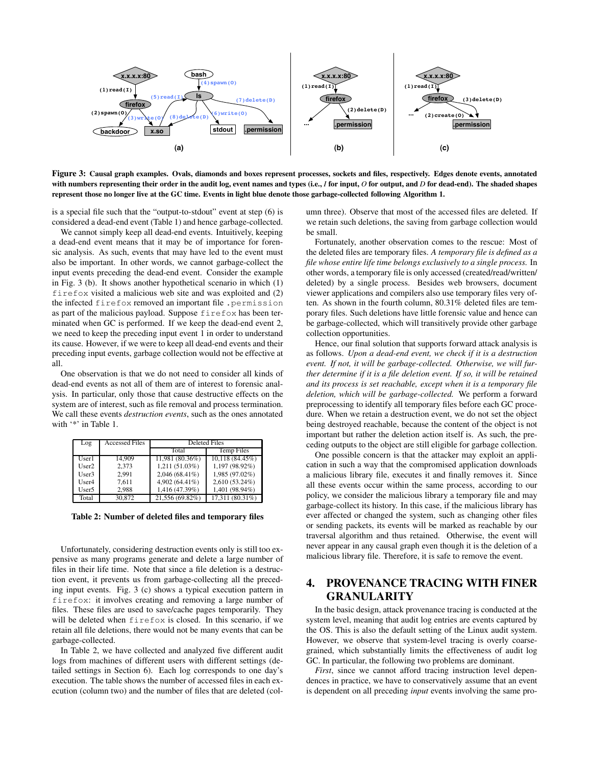

Figure 3: Causal graph examples. Ovals, diamonds and boxes represent processes, sockets and files, respectively. Edges denote events, annotated with numbers representing their order in the audit log, event names and types (i.e., *I* for input, *O* for output, and *D* for dead-end). The shaded shapes represent those no longer live at the GC time. Events in light blue denote those garbage-collected following Algorithm 1.

is a special file such that the "output-to-stdout" event at step (6) is considered a dead-end event (Table 1) and hence garbage-collected.

We cannot simply keep all dead-end events. Intuitively, keeping a dead-end event means that it may be of importance for forensic analysis. As such, events that may have led to the event must also be important. In other words, we cannot garbage-collect the input events preceding the dead-end event. Consider the example in Fig. 3 (b). It shows another hypothetical scenario in which (1) firefox visited a malicious web site and was exploited and (2) the infected firefox removed an important file .permission as part of the malicious payload. Suppose firefox has been terminated when GC is performed. If we keep the dead-end event 2, we need to keep the preceding input event 1 in order to understand its cause. However, if we were to keep all dead-end events and their preceding input events, garbage collection would not be effective at all.

One observation is that we do not need to consider all kinds of dead-end events as not all of them are of interest to forensic analysis. In particular, only those that cause destructive effects on the system are of interest, such as file removal and process termination. We call these events *destruction events*, such as the ones annotated with '\*' in Table 1.

| Log               | <b>Accessed Files</b> | <b>Deleted Files</b> |                   |  |  |  |
|-------------------|-----------------------|----------------------|-------------------|--|--|--|
|                   |                       | Total                | <b>Temp Files</b> |  |  |  |
| User1             | 14.909                | 11,981 (80.36%)      | 10.118 (84.45%)   |  |  |  |
| User2             | 2.373                 | 1,211 (51.03%)       | 1,197 (98.92%)    |  |  |  |
| User3             | 2.991                 | 2,046 (68.41%)       | 1,985 (97.02%)    |  |  |  |
| User4             | 7.611                 | 4,902 (64.41%)       | 2,610 (53.24%)    |  |  |  |
| User <sub>5</sub> | 2.988                 | 1,416 (47.39%)       | 1,401 (98.94%)    |  |  |  |
| Total             | 30,872                | 21,556 (69.82%)      | 17.311 (80.31%)   |  |  |  |

Table 2: Number of deleted files and temporary files

Unfortunately, considering destruction events only is still too expensive as many programs generate and delete a large number of files in their life time. Note that since a file deletion is a destruction event, it prevents us from garbage-collecting all the preceding input events. Fig. 3 (c) shows a typical execution pattern in firefox: it involves creating and removing a large number of files. These files are used to save/cache pages temporarily. They will be deleted when firefox is closed. In this scenario, if we retain all file deletions, there would not be many events that can be garbage-collected.

In Table 2, we have collected and analyzed five different audit logs from machines of different users with different settings (detailed settings in Section 6). Each log corresponds to one day's execution. The table shows the number of accessed files in each execution (column two) and the number of files that are deleted (column three). Observe that most of the accessed files are deleted. If we retain such deletions, the saving from garbage collection would be small.

Fortunately, another observation comes to the rescue: Most of the deleted files are temporary files. *A temporary file is defined as a file whose entire life time belongs exclusively to a single process.* In other words, a temporary file is only accessed (created/read/written/ deleted) by a single process. Besides web browsers, document viewer applications and compilers also use temporary files very often. As shown in the fourth column, 80.31% deleted files are temporary files. Such deletions have little forensic value and hence can be garbage-collected, which will transitively provide other garbage collection opportunities.

Hence, our final solution that supports forward attack analysis is as follows. *Upon a dead-end event, we check if it is a destruction event. If not, it will be garbage-collected. Otherwise, we will further determine if it is a file deletion event. If so, it will be retained and its process is set reachable, except when it is a temporary file deletion, which will be garbage-collected.* We perform a forward preprocessing to identify all temporary files before each GC procedure. When we retain a destruction event, we do not set the object being destroyed reachable, because the content of the object is not important but rather the deletion action itself is. As such, the preceding outputs to the object are still eligible for garbage collection.

One possible concern is that the attacker may exploit an application in such a way that the compromised application downloads a malicious library file, executes it and finally removes it. Since all these events occur within the same process, according to our policy, we consider the malicious library a temporary file and may garbage-collect its history. In this case, if the malicious library has ever affected or changed the system, such as changing other files or sending packets, its events will be marked as reachable by our traversal algorithm and thus retained. Otherwise, the event will never appear in any causal graph even though it is the deletion of a malicious library file. Therefore, it is safe to remove the event.

# 4. PROVENANCE TRACING WITH FINER GRANULARITY

In the basic design, attack provenance tracing is conducted at the system level, meaning that audit log entries are events captured by the OS. This is also the default setting of the Linux audit system. However, we observe that system-level tracing is overly coarsegrained, which substantially limits the effectiveness of audit log GC. In particular, the following two problems are dominant.

*First*, since we cannot afford tracing instruction level dependences in practice, we have to conservatively assume that an event is dependent on all preceding *input* events involving the same pro-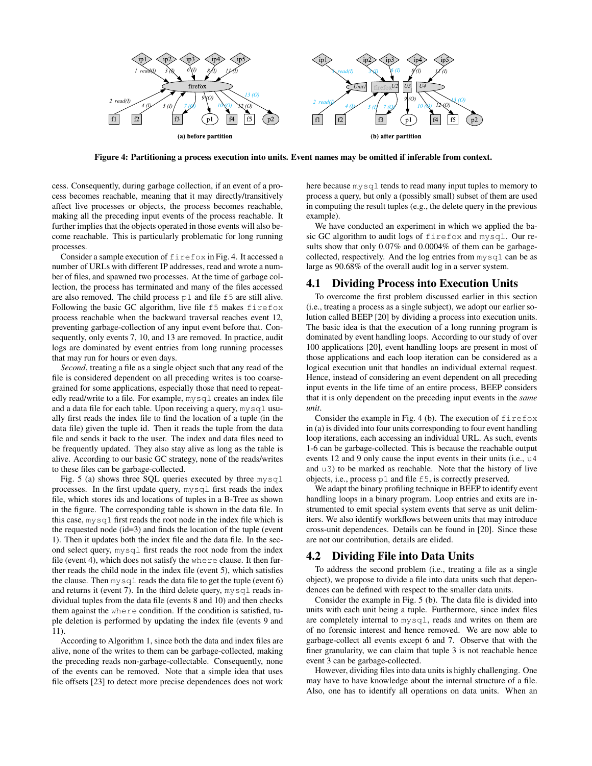

Figure 4: Partitioning a process execution into units. Event names may be omitted if inferable from context.

cess. Consequently, during garbage collection, if an event of a process becomes reachable, meaning that it may directly/transitively affect live processes or objects, the process becomes reachable, making all the preceding input events of the process reachable. It further implies that the objects operated in those events will also become reachable. This is particularly problematic for long running processes.

Consider a sample execution of firefox in Fig. 4. It accessed a number of URLs with different IP addresses, read and wrote a number of files, and spawned two processes. At the time of garbage collection, the process has terminated and many of the files accessed are also removed. The child process p1 and file f5 are still alive. Following the basic GC algorithm, live file f5 makes firefox process reachable when the backward traversal reaches event 12, preventing garbage-collection of any input event before that. Consequently, only events 7, 10, and 13 are removed. In practice, audit logs are dominated by event entries from long running processes that may run for hours or even days.

*Second*, treating a file as a single object such that any read of the file is considered dependent on all preceding writes is too coarsegrained for some applications, especially those that need to repeatedly read/write to a file. For example, mysql creates an index file and a data file for each table. Upon receiving a query, mysql usually first reads the index file to find the location of a tuple (in the data file) given the tuple id. Then it reads the tuple from the data file and sends it back to the user. The index and data files need to be frequently updated. They also stay alive as long as the table is alive. According to our basic GC strategy, none of the reads/writes to these files can be garbage-collected.

Fig. 5 (a) shows three SQL queries executed by three mysql processes. In the first update query, mysql first reads the index file, which stores ids and locations of tuples in a B-Tree as shown in the figure. The corresponding table is shown in the data file. In this case, mysql first reads the root node in the index file which is the requested node (id=3) and finds the location of the tuple (event 1). Then it updates both the index file and the data file. In the second select query, mysql first reads the root node from the index file (event 4), which does not satisfy the where clause. It then further reads the child node in the index file (event 5), which satisfies the clause. Then mysql reads the data file to get the tuple (event 6) and returns it (event 7). In the third delete query, mysql reads individual tuples from the data file (events 8 and 10) and then checks them against the where condition. If the condition is satisfied, tuple deletion is performed by updating the index file (events 9 and 11).

According to Algorithm 1, since both the data and index files are alive, none of the writes to them can be garbage-collected, making the preceding reads non-garbage-collectable. Consequently, none of the events can be removed. Note that a simple idea that uses file offsets [23] to detect more precise dependences does not work here because mysql tends to read many input tuples to memory to process a query, but only a (possibly small) subset of them are used in computing the result tuples (e.g., the delete query in the previous example).

We have conducted an experiment in which we applied the basic GC algorithm to audit logs of firefox and mysql. Our results show that only 0.07% and 0.0004% of them can be garbagecollected, respectively. And the log entries from mysql can be as large as 90.68% of the overall audit log in a server system.

#### 4.1 Dividing Process into Execution Units

To overcome the first problem discussed earlier in this section (i.e., treating a process as a single subject), we adopt our earlier solution called BEEP [20] by dividing a process into execution units. The basic idea is that the execution of a long running program is dominated by event handling loops. According to our study of over 100 applications [20], event handling loops are present in most of those applications and each loop iteration can be considered as a logical execution unit that handles an individual external request. Hence, instead of considering an event dependent on all preceding input events in the life time of an entire process, BEEP considers that it is only dependent on the preceding input events in the *same unit*.

Consider the example in Fig. 4 (b). The execution of  $firef$ ox in (a) is divided into four units corresponding to four event handling loop iterations, each accessing an individual URL. As such, events 1-6 can be garbage-collected. This is because the reachable output events 12 and 9 only cause the input events in their units (i.e., u4 and u3) to be marked as reachable. Note that the history of live objects, i.e., process p1 and file f5, is correctly preserved.

We adapt the binary profiling technique in BEEP to identify event handling loops in a binary program. Loop entries and exits are instrumented to emit special system events that serve as unit delimiters. We also identify workflows between units that may introduce cross-unit dependences. Details can be found in [20]. Since these are not our contribution, details are elided.

#### 4.2 Dividing File into Data Units

To address the second problem (i.e., treating a file as a single object), we propose to divide a file into data units such that dependences can be defined with respect to the smaller data units.

Consider the example in Fig. 5 (b). The data file is divided into units with each unit being a tuple. Furthermore, since index files are completely internal to mysql, reads and writes on them are of no forensic interest and hence removed. We are now able to garbage-collect all events except 6 and 7. Observe that with the finer granularity, we can claim that tuple 3 is not reachable hence event 3 can be garbage-collected.

However, dividing files into data units is highly challenging. One may have to have knowledge about the internal structure of a file. Also, one has to identify all operations on data units. When an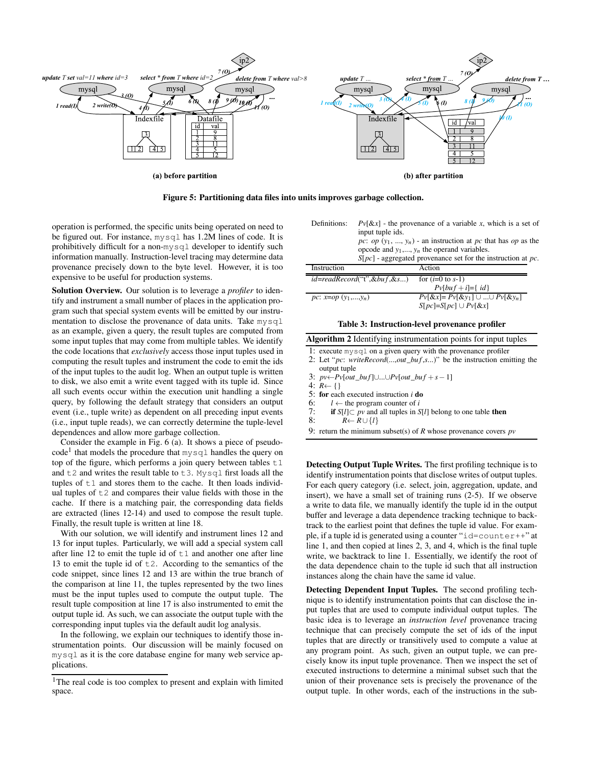

Figure 5: Partitioning data files into units improves garbage collection.

operation is performed, the specific units being operated on need to be figured out. For instance, mysql has 1.2M lines of code. It is prohibitively difficult for a non-mysql developer to identify such information manually. Instruction-level tracing may determine data provenance precisely down to the byte level. However, it is too expensive to be useful for production systems.

Solution Overview. Our solution is to leverage a *profiler* to identify and instrument a small number of places in the application program such that special system events will be emitted by our instrumentation to disclose the provenance of data units. Take  $mvsq1$ as an example, given a query, the result tuples are computed from some input tuples that may come from multiple tables. We identify the code locations that *exclusively* access those input tuples used in computing the result tuples and instrument the code to emit the ids of the input tuples to the audit log. When an output tuple is written to disk, we also emit a write event tagged with its tuple id. Since all such events occur within the execution unit handling a single query, by following the default strategy that considers an output event (i.e., tuple write) as dependent on all preceding input events (i.e., input tuple reads), we can correctly determine the tuple-level dependences and allow more garbage collection.

Consider the example in Fig. 6 (a). It shows a piece of pseudocode<sup>1</sup> that models the procedure that mysql handles the query on top of the figure, which performs a join query between tables  $t1$ and  $t2$  and writes the result table to  $t3$ . Mysql first loads all the tuples of t1 and stores them to the cache. It then loads individual tuples of  $\pm 2$  and compares their value fields with those in the cache. If there is a matching pair, the corresponding data fields are extracted (lines 12-14) and used to compose the result tuple. Finally, the result tuple is written at line 18.

With our solution, we will identify and instrument lines 12 and 13 for input tuples. Particularly, we will add a special system call after line 12 to emit the tuple id of  $t_1$  and another one after line 13 to emit the tuple id of  $\pm 2$ . According to the semantics of the code snippet, since lines 12 and 13 are within the true branch of the comparison at line 11, the tuples represented by the two lines must be the input tuples used to compute the output tuple. The result tuple composition at line 17 is also instrumented to emit the output tuple id. As such, we can associate the output tuple with the corresponding input tuples via the default audit log analysis.

In the following, we explain our techniques to identify those instrumentation points. Our discussion will be mainly focused on mysql as it is the core database engine for many web service applications.

| Definitions:                 |                                    | $Pv[\&x]$ - the provenance of a variable x, which is a set of                       |
|------------------------------|------------------------------------|-------------------------------------------------------------------------------------|
|                              | input tuple ids.                   |                                                                                     |
|                              |                                    | pc: op $(y_1, , y_n)$ - an instruction at pc that has op as the                     |
|                              |                                    | opcode and $y_1, \ldots, y_n$ the operand variables.                                |
|                              |                                    | $S[\mathit{pc}]$ - aggregated provenance set for the instruction at $\mathit{pc}$ . |
| Instruction                  |                                    | Action                                                                              |
|                              | $id = readRecord("t", \&buf, \&s)$ | for $(i=0 \text{ to } s-1)$                                                         |
|                              |                                    | $Pv[buf + i]=\{ id\}$                                                               |
| <i>pc</i> : $x=op(y_1,,y_n)$ |                                    | $Pv[&x] = Pv[&y_1] \cup  \cup Pv[&y_n]$                                             |

|  | Table 3: Instruction-level provenance profiler |  |  |
|--|------------------------------------------------|--|--|
|--|------------------------------------------------|--|--|

*S*[*pc*]=*S*[*pc*] ∪ *Pv*[&*x*]

| Algorithm 2 Identifying instrumentation points for input tuples |  |  |
|-----------------------------------------------------------------|--|--|
|                                                                 |  |  |

- 1: execute mysql on a given query with the provenance profiler 2: Let "*pc*: *writeRecord*(...,*out*\_*bu f* ,*s*...)" be the instruction emitting the
- output tuple
- 3: *pv*←*Pv*[*out*\_*bu f*]∪...∪*Pv*[*out*\_*bu f* +*s*−1]
- 4:  $R \leftarrow \{\}$
- 5: **for** each executed instruction *i* **do**<br>6:  $l \leftarrow$  the program counter of *i*
- $l \leftarrow$  the program counter of *i*
- 7: if *S*[*l*]⊂ *pv* and all tuples in *S*[*l*] belong to one table then

8:  $R \leftarrow R \cup \{l\}$ 

9: return the minimum subset(s) of *R* whose provenance covers *pv*

Detecting Output Tuple Writes. The first profiling technique is to identify instrumentation points that disclose writes of output tuples. For each query category (i.e. select, join, aggregation, update, and insert), we have a small set of training runs (2-5). If we observe a write to data file, we manually identify the tuple id in the output buffer and leverage a data dependence tracking technique to backtrack to the earliest point that defines the tuple id value. For example, if a tuple id is generated using a counter "id=counter++" at line 1, and then copied at lines 2, 3, and 4, which is the final tuple write, we backtrack to line 1. Essentially, we identify the root of the data dependence chain to the tuple id such that all instruction instances along the chain have the same id value.

Detecting Dependent Input Tuples. The second profiling technique is to identify instrumentation points that can disclose the input tuples that are used to compute individual output tuples. The basic idea is to leverage an *instruction level* provenance tracing technique that can precisely compute the set of ids of the input tuples that are directly or transitively used to compute a value at any program point. As such, given an output tuple, we can precisely know its input tuple provenance. Then we inspect the set of executed instructions to determine a minimal subset such that the union of their provenance sets is precisely the provenance of the output tuple. In other words, each of the instructions in the sub-

<sup>&</sup>lt;sup>1</sup>The real code is too complex to present and explain with limited space.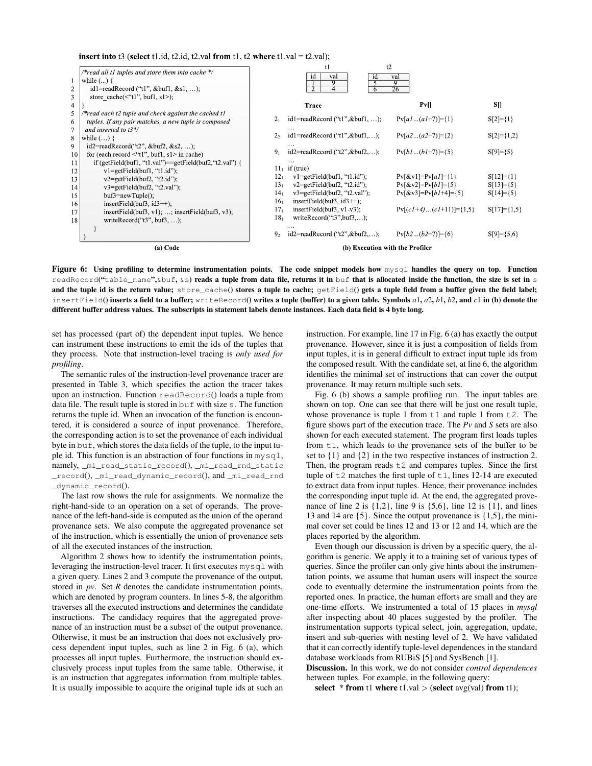insert into t3 (select t1.id, t2.id, t2.val from t1, t2 where t1.val = t2.val);



Figure 6: Using profiling to determine instrumentation points. The code snippet models how mysql handles the query on top. Function readRecord("table\_name", &buf, &s) reads a tuple from data file, returns it in buf that is allocated inside the function, the size is set in s and the tuple id is the return value; store\_cache() stores a tuple to cache; getField() gets a tuple field from a buffer given the field label; insertField() inserts a field to a buffer; writeRecord() writes a tuple (buffer) to a given table. Symbols  $a1$ ,  $a2$ ,  $b1$ ,  $b2$ , and  $c1$  in (b) denote the different buffer address values. The subscripts in statement labels denote instances. Each data field is 4 byte long.

set has processed (part of) the dependent input tuples. We hence can instrument these instructions to emit the ids of the tuples that they process. Note that instruction-level tracing is *only used for profiling*.

The semantic rules of the instruction-level provenance tracer are presented in Table 3, which specifies the action the tracer takes upon an instruction. Function readRecord() loads a tuple from data file. The result tuple is stored in buf with size s. The function returns the tuple id. When an invocation of the function is encountered, it is considered a source of input provenance. Therefore, the corresponding action is to set the provenance of each individual byte in buf, which stores the data fields of the tuple, to the input tuple id. This function is an abstraction of four functions in mysql, namely, \_mi\_read\_static\_record(), \_mi\_read\_rnd\_static \_record(), \_mi\_read\_dynamic\_record(), and \_mi\_read\_rnd \_dynamic\_record().

The last row shows the rule for assignments. We normalize the right-hand-side to an operation on a set of operands. The provenance of the left-hand-side is computed as the union of the operand provenance sets. We also compute the aggregated provenance set of the instruction, which is essentially the union of provenance sets of all the executed instances of the instruction.

Algorithm 2 shows how to identify the instrumentation points, leveraging the instruction-level tracer. It first executes mysql with a given query. Lines 2 and 3 compute the provenance of the output, stored in *pv*. Set *R* denotes the candidate instrumentation points, which are denoted by program counters. In lines 5-8, the algorithm traverses all the executed instructions and determines the candidate instructions. The candidacy requires that the aggregated provenance of an instruction must be a subset of the output provenance. Otherwise, it must be an instruction that does not exclusively process dependent input tuples, such as line 2 in Fig. 6 (a), which processes all input tuples. Furthermore, the instruction should exclusively process input tuples from the same table. Otherwise, it is an instruction that aggregates information from multiple tables. It is usually impossible to acquire the original tuple ids at such an instruction. For example, line 17 in Fig. 6 (a) has exactly the output provenance. However, since it is just a composition of fields from input tuples, it is in general difficult to extract input tuple ids from the composed result. With the candidate set, at line 6, the algorithm identifies the minimal set of instructions that can cover the output provenance. It may return multiple such sets.

Fig. 6 (b) shows a sample profiling run. The input tables are shown on top. One can see that there will be just one result tuple, whose provenance is tuple 1 from  $t1$  and tuple 1 from  $t2$ . The figure shows part of the execution trace. The *Pv* and *S* sets are also shown for each executed statement. The program first loads tuples from t1, which leads to the provenance sets of the buffer to be set to {1} and {2} in the two respective instances of instruction 2. Then, the program reads  $t2$  and compares tuples. Since the first tuple of  $\pm 2$  matches the first tuple of  $\pm 1$ , lines 12-14 are executed to extract data from input tuples. Hence, their provenance includes the corresponding input tuple id. At the end, the aggregated provenance of line 2 is  $\{1,2\}$ , line 9 is  $\{5,6\}$ , line 12 is  $\{1\}$ , and lines 13 and 14 are {5}. Since the output provenance is {1,5}, the minimal cover set could be lines 12 and 13 or 12 and 14, which are the places reported by the algorithm.

Even though our discussion is driven by a specific query, the algorithm is generic. We apply it to a training set of various types of queries. Since the profiler can only give hints about the instrumentation points, we assume that human users will inspect the source code to eventually determine the instrumentation points from the reported ones. In practice, the human efforts are small and they are one-time efforts. We instrumented a total of 15 places in *mysql* after inspecting about 40 places suggested by the profiler. The instrumentation supports typical select, join, aggregation, update, insert and sub-queries with nesting level of 2. We have validated that it can correctly identify tuple-level dependences in the standard database workloads from RUBiS [5] and SysBench [1].

Discussion. In this work, we do not consider *control dependences* between tuples. For example, in the following query:

select  $*$  from t1 where t1.val  $>$  (select avg(val) from t1);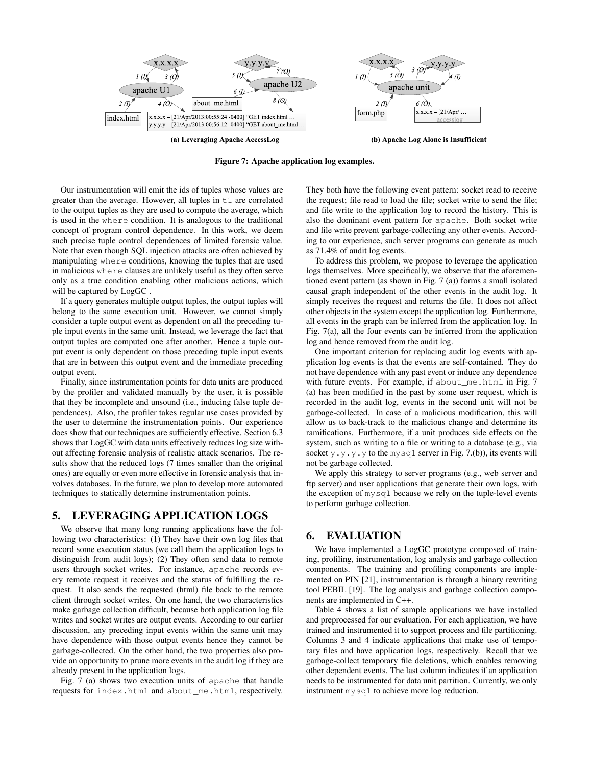

Figure 7: Apache application log examples.

Our instrumentation will emit the ids of tuples whose values are greater than the average. However, all tuples in  $t1$  are correlated to the output tuples as they are used to compute the average, which is used in the where condition. It is analogous to the traditional concept of program control dependence. In this work, we deem such precise tuple control dependences of limited forensic value. Note that even though SQL injection attacks are often achieved by manipulating where conditions, knowing the tuples that are used in malicious where clauses are unlikely useful as they often serve only as a true condition enabling other malicious actions, which will be captured by LogGC .

If a query generates multiple output tuples, the output tuples will belong to the same execution unit. However, we cannot simply consider a tuple output event as dependent on all the preceding tuple input events in the same unit. Instead, we leverage the fact that output tuples are computed one after another. Hence a tuple output event is only dependent on those preceding tuple input events that are in between this output event and the immediate preceding output event.

Finally, since instrumentation points for data units are produced by the profiler and validated manually by the user, it is possible that they be incomplete and unsound (i.e., inducing false tuple dependences). Also, the profiler takes regular use cases provided by the user to determine the instrumentation points. Our experience does show that our techniques are sufficiently effective. Section 6.3 shows that LogGC with data units effectively reduces log size without affecting forensic analysis of realistic attack scenarios. The results show that the reduced logs (7 times smaller than the original ones) are equally or even more effective in forensic analysis that involves databases. In the future, we plan to develop more automated techniques to statically determine instrumentation points.

#### 5. LEVERAGING APPLICATION LOGS

We observe that many long running applications have the following two characteristics: (1) They have their own log files that record some execution status (we call them the application logs to distinguish from audit logs); (2) They often send data to remote users through socket writes. For instance, apache records every remote request it receives and the status of fulfilling the request. It also sends the requested (html) file back to the remote client through socket writes. On one hand, the two characteristics make garbage collection difficult, because both application log file writes and socket writes are output events. According to our earlier discussion, any preceding input events within the same unit may have dependence with those output events hence they cannot be garbage-collected. On the other hand, the two properties also provide an opportunity to prune more events in the audit log if they are already present in the application logs.

Fig. 7 (a) shows two execution units of apache that handle requests for index.html and about\_me.html, respectively. They both have the following event pattern: socket read to receive the request; file read to load the file; socket write to send the file; and file write to the application log to record the history. This is also the dominant event pattern for apache. Both socket write and file write prevent garbage-collecting any other events. According to our experience, such server programs can generate as much as 71.4% of audit log events.

To address this problem, we propose to leverage the application logs themselves. More specifically, we observe that the aforementioned event pattern (as shown in Fig. 7 (a)) forms a small isolated causal graph independent of the other events in the audit log. It simply receives the request and returns the file. It does not affect other objects in the system except the application log. Furthermore, all events in the graph can be inferred from the application log. In Fig. 7(a), all the four events can be inferred from the application log and hence removed from the audit log.

One important criterion for replacing audit log events with application log events is that the events are self-contained. They do not have dependence with any past event or induce any dependence with future events. For example, if about\_me.html in Fig. 7 (a) has been modified in the past by some user request, which is recorded in the audit log, events in the second unit will not be garbage-collected. In case of a malicious modification, this will allow us to back-track to the malicious change and determine its ramifications. Furthermore, if a unit produces side effects on the system, such as writing to a file or writing to a database (e.g., via socket  $y \cdot y \cdot y \cdot y$  to the mysql server in Fig. 7.(b)), its events will not be garbage collected.

We apply this strategy to server programs (e.g., web server and ftp server) and user applications that generate their own logs, with the exception of mysql because we rely on the tuple-level events to perform garbage collection.

# 6. EVALUATION

We have implemented a LogGC prototype composed of training, profiling, instrumentation, log analysis and garbage collection components. The training and profiling components are implemented on PIN [21], instrumentation is through a binary rewriting tool PEBIL [19]. The log analysis and garbage collection components are implemented in C++.

Table 4 shows a list of sample applications we have installed and preprocessed for our evaluation. For each application, we have trained and instrumented it to support process and file partitioning. Columns 3 and 4 indicate applications that make use of temporary files and have application logs, respectively. Recall that we garbage-collect temporary file deletions, which enables removing other dependent events. The last column indicates if an application needs to be instrumented for data unit partition. Currently, we only instrument mysql to achieve more log reduction.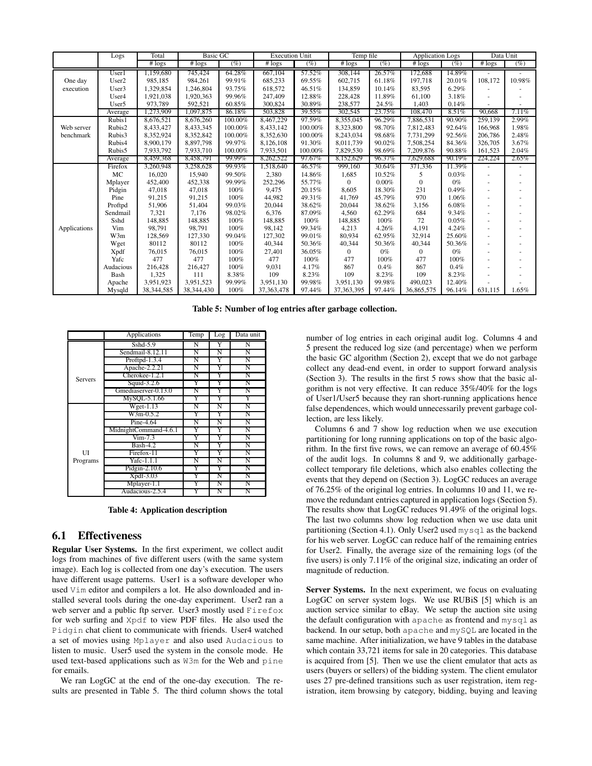|              | Logs              | Total      | <b>Basic GC</b> |         | <b>Execution Unit</b> |         | Temp file    |        | <b>Application Logs</b> |        | Data Unit                |        |
|--------------|-------------------|------------|-----------------|---------|-----------------------|---------|--------------|--------|-------------------------|--------|--------------------------|--------|
|              |                   | $# \log s$ | $# \log s$      | $(\%)$  | $# \log s$            | (%)     | $# \log s$   | $(\%)$ | $# \log s$              | $(\%)$ | # <sup>log</sup>         | (%)    |
|              | User1             | 1,159,680  | 745,424         | 64.28%  | 667.104               | 57.52%  | 308,144      | 26.57% | 172,688                 | 14.89% |                          |        |
| One day      | User <sub>2</sub> | 985.185    | 984.261         | 99.91%  | 685,233               | 69.55%  | 602.715      | 61.18% | 197.718                 | 20.01% | 108.172                  | 10.98% |
| execution    | User3             | 1.329.854  | 1,246,804       | 93.75%  | 618,572               | 46.51%  | 134,859      | 10.14% | 83,595                  | 6.29%  |                          |        |
|              | User4             | 1.921.038  | 1.920.363       | 99.96%  | 247,409               | 12.88%  | 228,428      | 11.89% | 61.100                  | 3.18%  |                          |        |
|              | User <sub>5</sub> | 973.789    | 592.521         | 60.85%  | 300,824               | 30.89%  | 238,577      | 24.5%  | 1.403                   | 0.14%  |                          |        |
|              | Average           | 1,273,909  | 1,097,875       | 86.18%  | 503,828               | 39.55%  | 302,545      | 23.75% | 108,470                 | 8.51%  | 90.668                   | 7.11%  |
|              | Rubis1            | 8,676,521  | 8,676,260       | 100.00% | 8,467,229             | 97.59%  | 8,355,045    | 96.29% | 7,886,531               | 90.90% | 259,139                  | 2.99%  |
| Web server   | Rubis2            | 8,433,427  | 8,433,345       | 100.00% | 8,433,142             | 100.00% | 8,323,800    | 98.70% | 7,812,483               | 92.64% | 166,968                  | 1.98%  |
| benchmark    | Rubis3            | 8,352,924  | 8,352,842       | 100.00% | 8,352,630             | 100.00% | 8,243,034    | 98.68% | 7,731,299               | 92.56% | 206,786                  | 2.48%  |
|              | Rubis4            | 8.900.179  | 8,897,798       | 99.97%  | 8.126.108             | 91.30%  | 8.011.739    | 90.02% | 7,508,254               | 84.36% | 326,705                  | 3.67%  |
|              | Rubis5            | 7.933.792  | 7,933,710       | 100.00% | 7,933,501             | 100.00% | 7,829,530    | 98.69% | 7,209,876               | 90.88% | 161.523                  | 2.04%  |
|              | Average           | 8.459.368  | 8,458,791       | 99.99%  | 8.262.522             | 97.67%  | 8.152.629    | 96.37% | 7.629.688               | 90.19% | 224,224                  | 2.65%  |
|              | Firefox           | 3,260,948  | 3,258,628       | 99.93%  | 1,518,640             | 46.57%  | 999,160      | 30.64% | 371,336                 | 11.39% |                          |        |
|              | MC                | 16.020     | 15,940          | 99.50%  | 2,380                 | 14.86%  | 1,685        | 10.52% | 5                       | 0.03%  |                          |        |
|              | Mplayer           | 452,400    | 452,338         | 99.99%  | 252,296               | 55.77%  | 0            | 0.00%  | $\theta$                | $0\%$  |                          |        |
|              | Pidgin            | 47.018     | 47.018          | 100%    | 9.475                 | 20.15%  | 8.605        | 18.30% | 231                     | 0.49%  | ٠                        |        |
|              | Pine              | 91,215     | 91,215          | 100%    | 44,982                | 49.31%  | 41.769       | 45.79% | 970                     | 1.06%  |                          |        |
|              | Proftpd           | 51,906     | 51,404          | 99.03%  | 20,044                | 38.62%  | 20,044       | 38.62% | 3,156                   | 6.08%  |                          |        |
|              | Sendmail          | 7,321      | 7,176           | 98.02%  | 6,376                 | 87.09%  | 4,560        | 62.29% | 684                     | 9.34%  | $\overline{\phantom{a}}$ |        |
|              | Sshd              | 148,885    | 148,885         | 100%    | 148,885               | 100%    | 148,885      | 100%   | 72                      | 0.05%  |                          |        |
| Applications | Vim               | 98.791     | 98,791          | 100%    | 98,142                | 99.34%  | 4,213        | 4.26%  | 4,191                   | 4.24%  |                          |        |
|              | W3m               | 128,569    | 127,330         | 99.04%  | 127,302               | 99.01%  | 80.934       | 62.95% | 32,914                  | 25.60% |                          |        |
|              | Wget              | 80112      | 80112           | 100%    | 40,344                | 50.36%  | 40,344       | 50.36% | 40,344                  | 50.36% |                          |        |
|              | Xpdf              | 76,015     | 76,015          | 100%    | 27,401                | 36.05%  | $\mathbf{0}$ | $0\%$  | 0                       | $0\%$  | $\overline{\phantom{a}}$ |        |
|              | Yafc              | 477        | 477             | 100%    | 477                   | 100%    | 477          | 100%   | 477                     | 100%   | $\overline{\phantom{a}}$ |        |
|              | Audacious         | 216,428    | 216,427         | 100%    | 9,031                 | 4.17%   | 867          | 0.4%   | 867                     | 0.4%   |                          |        |
|              | Bash              | 1,325      | 111             | 8.38%   | 109                   | 8.23%   | 109          | 8.23%  | 109                     | 8.23%  |                          |        |
|              | Apache            | 3,951,923  | 3,951,523       | 99.99%  | 3,951,130             | 99.98%  | 3,951,130    | 99.98% | 490,023                 | 12.40% |                          |        |
|              | Mysqld            | 38,344,585 | 38,344,430      | 100%    | 37, 363, 478          | 97.44%  | 37, 363, 395 | 97.44% | 36,865,575              | 96.14% | 631,115                  | 1.65%  |

Table 5: Number of log entries after garbage collection.

|                | Applications          | Temp | Log | Data unit |
|----------------|-----------------------|------|-----|-----------|
|                | $Sshd-5.9$            | N    | Ÿ   | N         |
|                | Sendmail- $8.12.11$   | N    | N   | N         |
|                | Proftpd-1.3.4         | N    |     | N         |
|                | Apache-2.2.21         | N    |     | N         |
| <b>Servers</b> | Cherokee-1.2.1        | N    |     | N         |
|                | Squid-3.2.6           |      |     | N         |
|                | Gmediaserver-0.13.0   | N    |     | N         |
|                | MySQL-5.1.66          |      | Y   |           |
|                | $Wget-1.13$           | N    | N   | N         |
|                | W3m-0.5.2             |      | Y   | N         |
|                | Pine-4.64             | N    | N   | N         |
|                | MidnightCommand-4.6.1 |      |     | N         |
|                | Vim-7.3               |      |     | Ν         |
|                | $Bash-4.2$            | N    |     | N         |
| UI             | Firefox-11            |      |     | N         |
| Programs       | Yafc-1.1.1            | N    | N   | N         |
|                | Pidgin-2.10.6         |      | Y   | N         |
|                | $Xpdf-3.03$           |      | N   | N         |
|                | Mplayer-1.1           | Y    | N   | N         |
|                | Audacious-2.5.4       |      | N   | N         |

Table 4: Application description

#### 6.1 Effectiveness

Regular User Systems. In the first experiment, we collect audit logs from machines of five different users (with the same system image). Each log is collected from one day's execution. The users have different usage patterns. User1 is a software developer who used Vim editor and compilers a lot. He also downloaded and installed several tools during the one-day experiment. User2 ran a web server and a public ftp server. User3 mostly used Firefox for web surfing and Xpdf to view PDF files. He also used the Pidgin chat client to communicate with friends. User4 watched a set of movies using Mplayer and also used Audacious to listen to music. User5 used the system in the console mode. He used text-based applications such as W3m for the Web and pine for emails.

We ran LogGC at the end of the one-day execution. The results are presented in Table 5. The third column shows the total number of log entries in each original audit log. Columns 4 and 5 present the reduced log size (and percentage) when we perform the basic GC algorithm (Section 2), except that we do not garbage collect any dead-end event, in order to support forward analysis (Section 3). The results in the first 5 rows show that the basic algorithm is not very effective. It can reduce 35%/40% for the logs of User1/User5 because they ran short-running applications hence false dependences, which would unnecessarily prevent garbage collection, are less likely.

Columns 6 and 7 show log reduction when we use execution partitioning for long running applications on top of the basic algorithm. In the first five rows, we can remove an average of 60.45% of the audit logs. In columns 8 and 9, we additionally garbagecollect temporary file deletions, which also enables collecting the events that they depend on (Section 3). LogGC reduces an average of 76.25% of the original log entries. In columns 10 and 11, we remove the redundant entries captured in application logs (Section 5). The results show that LogGC reduces 91.49% of the original logs. The last two columns show log reduction when we use data unit partitioning (Section 4.1). Only User2 used  $mysq1$  as the backend for his web server. LogGC can reduce half of the remaining entries for User2. Finally, the average size of the remaining logs (of the five users) is only 7.11% of the original size, indicating an order of magnitude of reduction.

Server Systems. In the next experiment, we focus on evaluating LogGC on server system logs. We use RUBiS [5] which is an auction service similar to eBay. We setup the auction site using the default configuration with apache as frontend and mysql as backend. In our setup, both apache and mySQL are located in the same machine. After initialization, we have 9 tables in the database which contain 33,721 items for sale in 20 categories. This database is acquired from [5]. Then we use the client emulator that acts as users (buyers or sellers) of the bidding system. The client emulator uses 27 pre-defined transitions such as user registration, item registration, item browsing by category, bidding, buying and leaving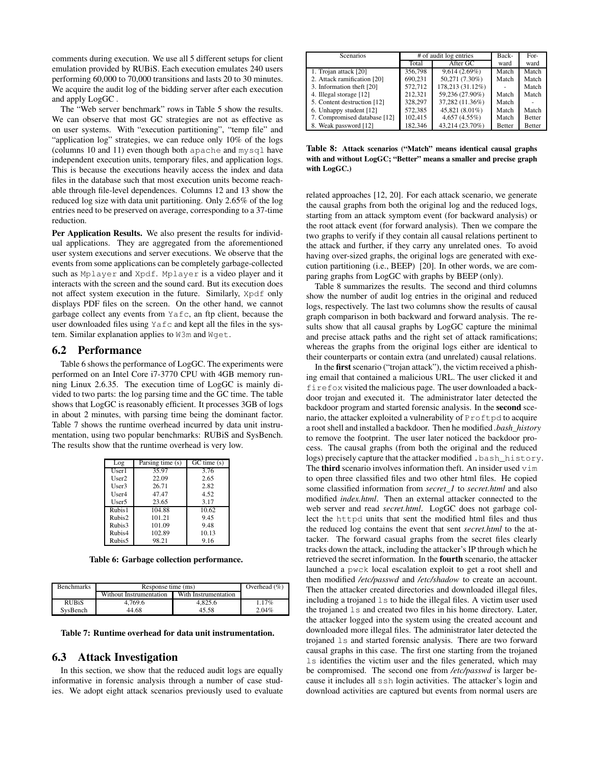comments during execution. We use all 5 different setups for client emulation provided by RUBiS. Each execution emulates 240 users performing 60,000 to 70,000 transitions and lasts 20 to 30 minutes. We acquire the audit log of the bidding server after each execution and apply LogGC .

The "Web server benchmark" rows in Table 5 show the results. We can observe that most GC strategies are not as effective as on user systems. With "execution partitioning", "temp file" and "application log" strategies, we can reduce only 10% of the logs (columns 10 and 11) even though both apache and mysql have independent execution units, temporary files, and application logs. This is because the executions heavily access the index and data files in the database such that most execution units become reachable through file-level dependences. Columns 12 and 13 show the reduced log size with data unit partitioning. Only 2.65% of the log entries need to be preserved on average, corresponding to a 37-time reduction.

Per Application Results. We also present the results for individual applications. They are aggregated from the aforementioned user system executions and server executions. We observe that the events from some applications can be completely garbage-collected such as Mplayer and Xpdf. Mplayer is a video player and it interacts with the screen and the sound card. But its execution does not affect system execution in the future. Similarly, Xpdf only displays PDF files on the screen. On the other hand, we cannot garbage collect any events from Yafc, an ftp client, because the user downloaded files using Yafc and kept all the files in the system. Similar explanation applies to W3m and Wget.

#### 6.2 Performance

Table 6 shows the performance of LogGC. The experiments were performed on an Intel Core i7-3770 CPU with 4GB memory running Linux 2.6.35. The execution time of LogGC is mainly divided to two parts: the log parsing time and the GC time. The table shows that LogGC is reasonably efficient. It processes 3GB of logs in about 2 minutes, with parsing time being the dominant factor. Table 7 shows the runtime overhead incurred by data unit instrumentation, using two popular benchmarks: RUBiS and SysBench. The results show that the runtime overhead is very low.

| Log               | Parsing time (s) | $GC$ time $(s)$ |
|-------------------|------------------|-----------------|
| User1             | 35.97            | 3.76            |
| User <sub>2</sub> | 22.09            | 2.65            |
| User3             | 26.71            | 2.82            |
| User4             | 47.47            | 4.52            |
| User <sub>5</sub> | 23.65            | 3.17            |
| Rubis1            | 104.88           | 10.62           |
| Rubis2            | 101.21           | 9.45            |
| Rubis3            | 101.09           | 9.48            |
| Rubis4            | 102.89           | 10.13           |
| Rubis5            | 98.21            | 9.16            |

Table 6: Garbage collection performance.

| <b>Benchmarks</b> | Response time (ms)      | Overhead $(\% )$ |          |
|-------------------|-------------------------|------------------|----------|
|                   | Without Instrumentation |                  |          |
| <b>RUBIS</b>      | 4.769.6                 | 4.825.6          | $.17\%$  |
| SysBench          | 44.68                   | 45.58            | $2.04\%$ |

Table 7: Runtime overhead for data unit instrumentation.

# 6.3 Attack Investigation

In this section, we show that the reduced audit logs are equally informative in forensic analysis through a number of case studies. We adopt eight attack scenarios previously used to evaluate

| <b>Scenarios</b>             | # of audit log entries |                  | Back-         | For-          |
|------------------------------|------------------------|------------------|---------------|---------------|
|                              | Total                  | After GC         | ward          | ward          |
| 1. Trojan attack [20]        | 356,798                | $9.614(2.69\%)$  | Match         | Match         |
| 2. Attack ramification [20]  | 690.231                | 50,271 (7.30%)   | Match         | Match         |
| 3. Information theft [20]    | 572.712                | 178,213 (31.12%) |               | Match         |
| 4. Illegal storage [12]      | 212.321                | 59,236 (27.90%)  | Match         | Match         |
| 5. Content destruction [12]  | 328,297                | 37,282 (11.36%)  | Match         |               |
| 6. Unhappy student [12]      | 572.385                | 45,821 (8.01%)   | Match         | Match         |
| 7. Compromised database [12] | 102.415                | $4,657(4.55\%)$  | Match         | <b>Better</b> |
| 8. Weak password [12]        | 182.346                | 43,214 (23.70%)  | <b>Better</b> | <b>Better</b> |

Table 8: Attack scenarios ("Match" means identical causal graphs with and without LogGC; "Better" means a smaller and precise graph with LogGC.)

related approaches [12, 20]. For each attack scenario, we generate the causal graphs from both the original log and the reduced logs, starting from an attack symptom event (for backward analysis) or the root attack event (for forward analysis). Then we compare the two graphs to verify if they contain all causal relations pertinent to the attack and further, if they carry any unrelated ones. To avoid having over-sized graphs, the original logs are generated with execution partitioning (i.e., BEEP) [20]. In other words, we are comparing graphs from LogGC with graphs by BEEP (only).

Table 8 summarizes the results. The second and third columns show the number of audit log entries in the original and reduced logs, respectively. The last two columns show the results of causal graph comparison in both backward and forward analysis. The results show that all causal graphs by LogGC capture the minimal and precise attack paths and the right set of attack ramifications; whereas the graphs from the original logs either are identical to their counterparts or contain extra (and unrelated) causal relations.

In the first scenario ("trojan attack"), the victim received a phishing email that contained a malicious URL. The user clicked it and firefox visited the malicious page. The user downloaded a backdoor trojan and executed it. The administrator later detected the backdoor program and started forensic analysis. In the second scenario, the attacker exploited a vulnerability of  $\text{Profit}$  to acquire a root shell and installed a backdoor. Then he modified *.bash\_history* to remove the footprint. The user later noticed the backdoor process. The causal graphs (from both the original and the reduced logs) precisely capture that the attacker modified .bash\_history. The third scenario involves information theft. An insider used  $v$  im to open three classified files and two other html files. He copied some classified information from *secret\_1* to *secret.html* and also modified *index.html*. Then an external attacker connected to the web server and read *secret.html*. LogGC does not garbage collect the httpd units that sent the modified html files and thus the reduced log contains the event that sent *secret.html* to the attacker. The forward casual graphs from the secret files clearly tracks down the attack, including the attacker's IP through which he retrieved the secret information. In the fourth scenario, the attacker launched a pwck local escalation exploit to get a root shell and then modified */etc/passwd* and */etc/shadow* to create an account. Then the attacker created directories and downloaded illegal files, including a trojaned ls to hide the illegal files. A victim user used the trojaned ls and created two files in his home directory. Later, the attacker logged into the system using the created account and downloaded more illegal files. The administrator later detected the trojaned ls and started forensic analysis. There are two forward causal graphs in this case. The first one starting from the trojaned ls identifies the victim user and the files generated, which may be compromised. The second one from */etc/passwd* is larger because it includes all ssh login activities. The attacker's login and download activities are captured but events from normal users are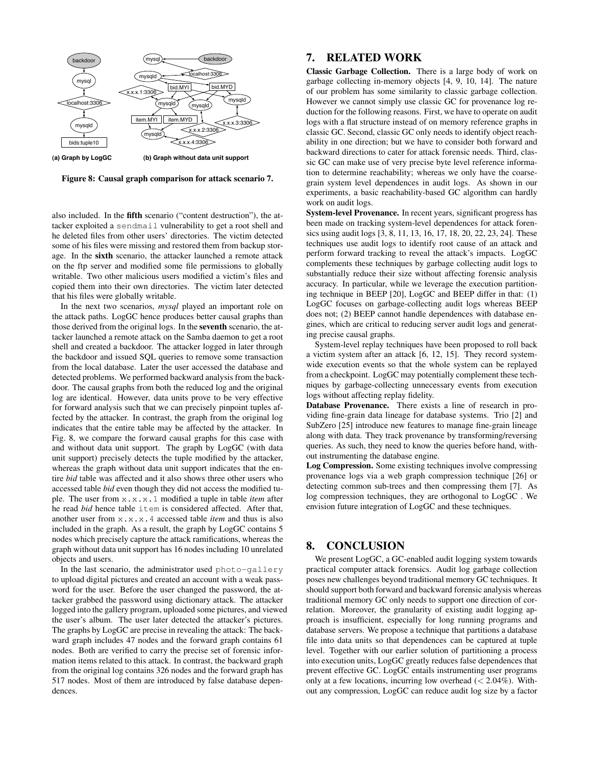

Figure 8: Causal graph comparison for attack scenario 7.

also included. In the fifth scenario ("content destruction"), the attacker exploited a sendmail vulnerability to get a root shell and he deleted files from other users' directories. The victim detected some of his files were missing and restored them from backup storage. In the sixth scenario, the attacker launched a remote attack on the ftp server and modified some file permissions to globally writable. Two other malicious users modified a victim's files and copied them into their own directories. The victim later detected that his files were globally writable.

In the next two scenarios, *mysql* played an important role on the attack paths. LogGC hence produces better causal graphs than those derived from the original logs. In the seventh scenario, the attacker launched a remote attack on the Samba daemon to get a root shell and created a backdoor. The attacker logged in later through the backdoor and issued SQL queries to remove some transaction from the local database. Later the user accessed the database and detected problems. We performed backward analysis from the backdoor. The causal graphs from both the reduced log and the original log are identical. However, data units prove to be very effective for forward analysis such that we can precisely pinpoint tuples affected by the attacker. In contrast, the graph from the original log indicates that the entire table may be affected by the attacker. In Fig. 8, we compare the forward causal graphs for this case with and without data unit support. The graph by LogGC (with data unit support) precisely detects the tuple modified by the attacker, whereas the graph without data unit support indicates that the entire *bid* table was affected and it also shows three other users who accessed table *bid* even though they did not access the modified tuple. The user from x.x.x.1 modified a tuple in table *item* after he read *bid* hence table item is considered affected. After that, another user from x.x.x.4 accessed table *item* and thus is also included in the graph. As a result, the graph by LogGC contains 5 nodes which precisely capture the attack ramifications, whereas the graph without data unit support has 16 nodes including 10 unrelated objects and users.

In the last scenario, the administrator used photo-gallery to upload digital pictures and created an account with a weak password for the user. Before the user changed the password, the attacker grabbed the password using dictionary attack. The attacker logged into the gallery program, uploaded some pictures, and viewed the user's album. The user later detected the attacker's pictures. The graphs by LogGC are precise in revealing the attack: The backward graph includes 47 nodes and the forward graph contains 61 nodes. Both are verified to carry the precise set of forensic information items related to this attack. In contrast, the backward graph from the original log contains 326 nodes and the forward graph has 517 nodes. Most of them are introduced by false database dependences.

# 7. RELATED WORK

Classic Garbage Collection. There is a large body of work on garbage collecting in-memory objects [4, 9, 10, 14]. The nature of our problem has some similarity to classic garbage collection. However we cannot simply use classic GC for provenance log reduction for the following reasons. First, we have to operate on audit logs with a flat structure instead of on memory reference graphs in classic GC. Second, classic GC only needs to identify object reachability in one direction; but we have to consider both forward and backward directions to cater for attack forensic needs. Third, classic GC can make use of very precise byte level reference information to determine reachability; whereas we only have the coarsegrain system level dependences in audit logs. As shown in our experiments, a basic reachability-based GC algorithm can hardly work on audit logs.

System-level Provenance. In recent years, significant progress has been made on tracking system-level dependences for attack forensics using audit logs [3, 8, 11, 13, 16, 17, 18, 20, 22, 23, 24]. These techniques use audit logs to identify root cause of an attack and perform forward tracking to reveal the attack's impacts. LogGC complements these techniques by garbage collecting audit logs to substantially reduce their size without affecting forensic analysis accuracy. In particular, while we leverage the execution partitioning technique in BEEP [20], LogGC and BEEP differ in that: (1) LogGC focuses on garbage-collecting audit logs whereas BEEP does not; (2) BEEP cannot handle dependences with database engines, which are critical to reducing server audit logs and generating precise causal graphs.

System-level replay techniques have been proposed to roll back a victim system after an attack [6, 12, 15]. They record systemwide execution events so that the whole system can be replayed from a checkpoint. LogGC may potentially complement these techniques by garbage-collecting unnecessary events from execution logs without affecting replay fidelity.

Database Provenance. There exists a line of research in providing fine-grain data lineage for database systems. Trio [2] and SubZero [25] introduce new features to manage fine-grain lineage along with data. They track provenance by transforming/reversing queries. As such, they need to know the queries before hand, without instrumenting the database engine.

Log Compression. Some existing techniques involve compressing provenance logs via a web graph compression technique [26] or detecting common sub-trees and then compressing them [7]. As log compression techniques, they are orthogonal to LogGC . We envision future integration of LogGC and these techniques.

#### 8. CONCLUSION

We present LogGC, a GC-enabled audit logging system towards practical computer attack forensics. Audit log garbage collection poses new challenges beyond traditional memory GC techniques. It should support both forward and backward forensic analysis whereas traditional memory GC only needs to support one direction of correlation. Moreover, the granularity of existing audit logging approach is insufficient, especially for long running programs and database servers. We propose a technique that partitions a database file into data units so that dependences can be captured at tuple level. Together with our earlier solution of partitioning a process into execution units, LogGC greatly reduces false dependences that prevent effective GC. LogGC entails instrumenting user programs only at a few locations, incurring low overhead  $(< 2.04\%)$ . Without any compression, LogGC can reduce audit log size by a factor